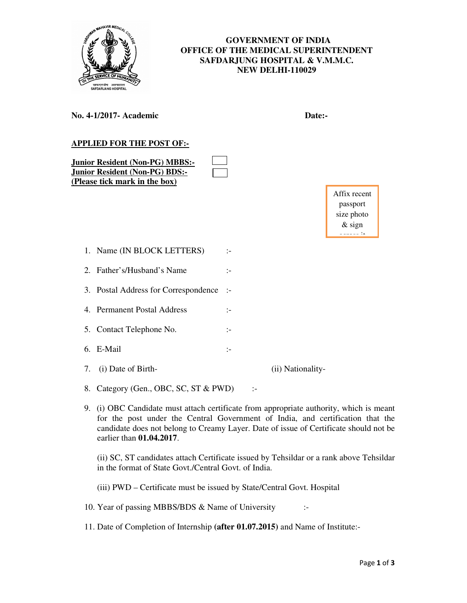

## **GOVERNMENT OF INDIA OFFICE OF THE MEDICAL SUPERINTENDENT SAFDARJUNG HOSPITAL & V.M.M.C. NEW DELHI-110029**

| Date:-                                                |
|-------------------------------------------------------|
| Affix recent<br>passport<br>size photo<br>$&$ sign    |
| :-                                                    |
| :−                                                    |
| $\mathbf{L}$                                          |
| :-                                                    |
| $\mathbf{L}$                                          |
| $\mathbb{I}^-$                                        |
| (ii) Nationality-                                     |
| 8. Category (Gen., OBC, SC, ST & PWD)<br>$\mathbf{L}$ |
|                                                       |

9. (i) OBC Candidate must attach certificate from appropriate authority, which is meant for the post under the Central Government of India, and certification that the candidate does not belong to Creamy Layer. Date of issue of Certificate should not be earlier than **01.04.2017**.

(ii) SC, ST candidates attach Certificate issued by Tehsildar or a rank above Tehsildar in the format of State Govt./Central Govt. of India.

(iii) PWD – Certificate must be issued by State/Central Govt. Hospital

10. Year of passing MBBS/BDS & Name of University :-

11. Date of Completion of Internship **(after 01.07.2015)** and Name of Institute:-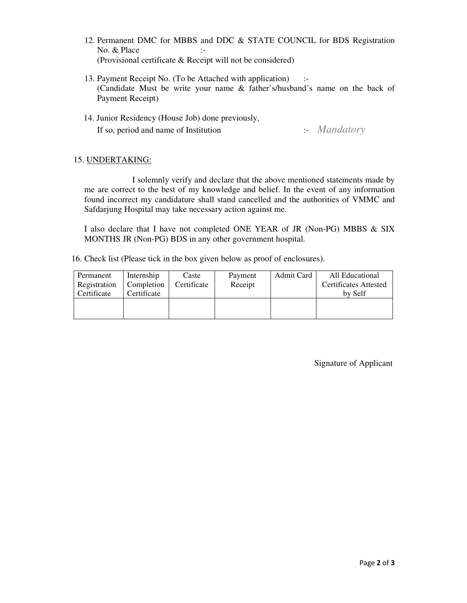- 12. Permanent DMC for MBBS and DDC & STATE COUNCIL for BDS Registration No. & Place :-(Provisional certificate & Receipt will not be considered)
- 13. Payment Receipt No. (To be Attached with application) :- (Candidate Must be write your name & father's/husband's name on the back of Payment Receipt)
- 14. Junior Residency (House Job) done previously, If so, period and name of Institution :- *Mandatory*

## 15. UNDERTAKING:

 I solemnly verify and declare that the above mentioned statements made by me are correct to the best of my knowledge and belief. In the event of any information found incorrect my candidature shall stand cancelled and the authorities of VMMC and Safdarjung Hospital may take necessary action against me.

I also declare that I have not completed ONE YEAR of JR (Non-PG) MBBS & SIX MONTHS JR (Non-PG) BDS in any other government hospital.

16. Check list (Please tick in the box given below as proof of enclosures).

| Permanent<br>Registration<br>Certificate | Internship<br>Completion  <br>Certificate | Caste<br>Certificate | Payment<br>Receipt | Admit Card | All Educational<br><b>Certificates Attested</b><br>by Self |
|------------------------------------------|-------------------------------------------|----------------------|--------------------|------------|------------------------------------------------------------|
|                                          |                                           |                      |                    |            |                                                            |

Signature of Applicant